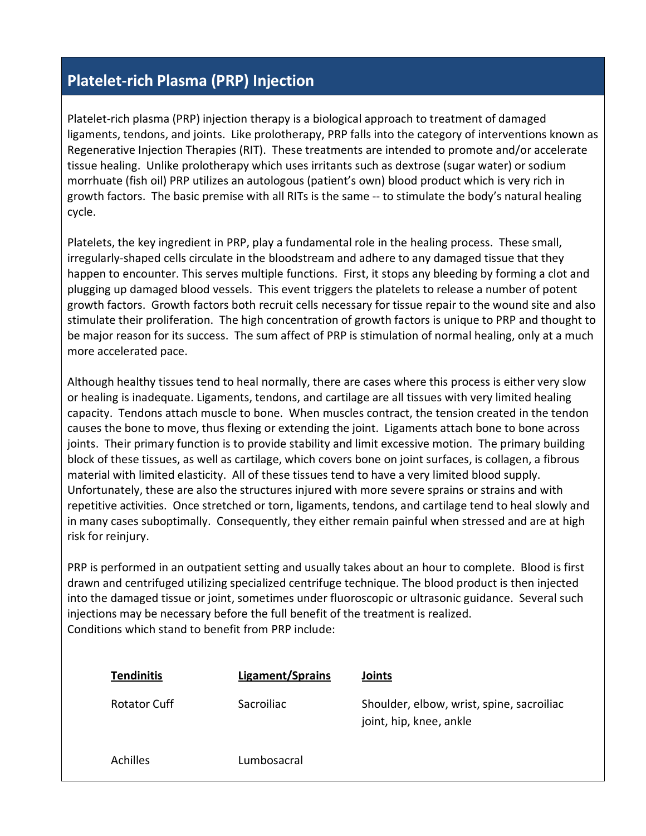## **Platelet-rich Plasma (PRP) Injection**

Platelet-rich plasma (PRP) injection therapy is a biological approach to treatment of damaged ligaments, tendons, and joints. Like prolotherapy, PRP falls into the category of interventions known as Regenerative Injection Therapies (RIT). These treatments are intended to promote and/or accelerate tissue healing. Unlike prolotherapy which uses irritants such as dextrose (sugar water) or sodium morrhuate (fish oil) PRP utilizes an autologous (patient's own) blood product which is very rich in growth factors. The basic premise with all RITs is the same -- to stimulate the body's natural healing cycle.

Platelets, the key ingredient in PRP, play a fundamental role in the healing process. These small, irregularly-shaped cells circulate in the bloodstream and adhere to any damaged tissue that they happen to encounter. This serves multiple functions. First, it stops any bleeding by forming a clot and plugging up damaged blood vessels. This event triggers the platelets to release a number of potent growth factors. Growth factors both recruit cells necessary for tissue repair to the wound site and also stimulate their proliferation. The high concentration of growth factors is unique to PRP and thought to be major reason for its success. The sum affect of PRP is stimulation of normal healing, only at a much more accelerated pace.

Although healthy tissues tend to heal normally, there are cases where this process is either very slow or healing is inadequate. Ligaments, tendons, and cartilage are all tissues with very limited healing capacity. Tendons attach muscle to bone. When muscles contract, the tension created in the tendon causes the bone to move, thus flexing or extending the joint. Ligaments attach bone to bone across joints. Their primary function is to provide stability and limit excessive motion. The primary building block of these tissues, as well as cartilage, which covers bone on joint surfaces, is collagen, a fibrous material with limited elasticity. All of these tissues tend to have a very limited blood supply. Unfortunately, these are also the structures injured with more severe sprains or strains and with repetitive activities. Once stretched or torn, ligaments, tendons, and cartilage tend to heal slowly and in many cases suboptimally. Consequently, they either remain painful when stressed and are at high risk for reinjury.

PRP is performed in an outpatient setting and usually takes about an hour to complete. Blood is first drawn and centrifuged utilizing specialized centrifuge technique. The blood product is then injected into the damaged tissue or joint, sometimes under fluoroscopic or ultrasonic guidance. Several such injections may be necessary before the full benefit of the treatment is realized. Conditions which stand to benefit from PRP include:

| <b>Tendinitis</b>   | Ligament/Sprains | <b>Joints</b>                                                        |
|---------------------|------------------|----------------------------------------------------------------------|
| <b>Rotator Cuff</b> | Sacroiliac       | Shoulder, elbow, wrist, spine, sacroiliac<br>joint, hip, knee, ankle |
| <b>Achilles</b>     | Lumbosacral      |                                                                      |